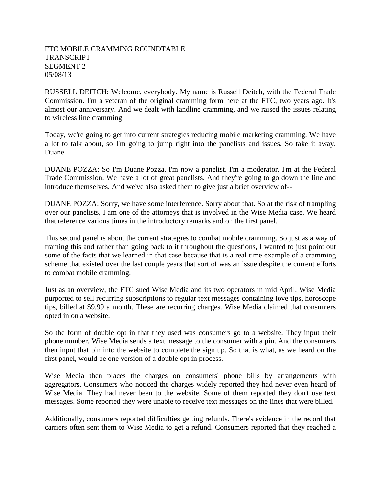## FTC MOBILE CRAMMING ROUNDTABLE **TRANSCRIPT** SEGMENT 2 05/08/13

RUSSELL DEITCH: Welcome, everybody. My name is Russell Deitch, with the Federal Trade Commission. I'm a veteran of the original cramming form here at the FTC, two years ago. It's almost our anniversary. And we dealt with landline cramming, and we raised the issues relating to wireless line cramming.

Today, we're going to get into current strategies reducing mobile marketing cramming. We have a lot to talk about, so I'm going to jump right into the panelists and issues. So take it away, Duane.

DUANE POZZA: So I'm Duane Pozza. I'm now a panelist. I'm a moderator. I'm at the Federal Trade Commission. We have a lot of great panelists. And they're going to go down the line and introduce themselves. And we've also asked them to give just a brief overview of--

DUANE POZZA: Sorry, we have some interference. Sorry about that. So at the risk of trampling over our panelists, I am one of the attorneys that is involved in the Wise Media case. We heard that reference various times in the introductory remarks and on the first panel.

This second panel is about the current strategies to combat mobile cramming. So just as a way of framing this and rather than going back to it throughout the questions, I wanted to just point out some of the facts that we learned in that case because that is a real time example of a cramming scheme that existed over the last couple years that sort of was an issue despite the current efforts to combat mobile cramming.

Just as an overview, the FTC sued Wise Media and its two operators in mid April. Wise Media purported to sell recurring subscriptions to regular text messages containing love tips, horoscope tips, billed at \$9.99 a month. These are recurring charges. Wise Media claimed that consumers opted in on a website.

So the form of double opt in that they used was consumers go to a website. They input their phone number. Wise Media sends a text message to the consumer with a pin. And the consumers then input that pin into the website to complete the sign up. So that is what, as we heard on the first panel, would be one version of a double opt in process.

Wise Media then places the charges on consumers' phone bills by arrangements with aggregators. Consumers who noticed the charges widely reported they had never even heard of Wise Media. They had never been to the website. Some of them reported they don't use text messages. Some reported they were unable to receive text messages on the lines that were billed.

Additionally, consumers reported difficulties getting refunds. There's evidence in the record that carriers often sent them to Wise Media to get a refund. Consumers reported that they reached a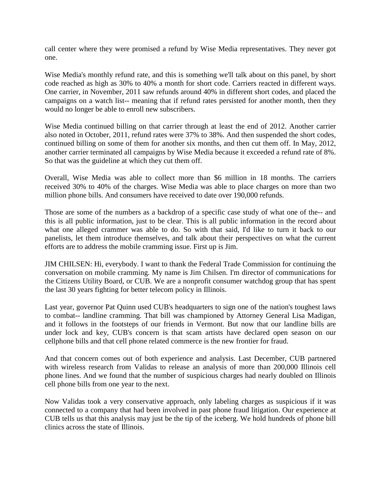call center where they were promised a refund by Wise Media representatives. They never got one.

Wise Media's monthly refund rate, and this is something we'll talk about on this panel, by short code reached as high as 30% to 40% a month for short code. Carriers reacted in different ways. One carrier, in November, 2011 saw refunds around 40% in different short codes, and placed the campaigns on a watch list-- meaning that if refund rates persisted for another month, then they would no longer be able to enroll new subscribers.

Wise Media continued billing on that carrier through at least the end of 2012. Another carrier also noted in October, 2011, refund rates were 37% to 38%. And then suspended the short codes, continued billing on some of them for another six months, and then cut them off. In May, 2012, another carrier terminated all campaigns by Wise Media because it exceeded a refund rate of 8%. So that was the guideline at which they cut them off.

Overall, Wise Media was able to collect more than \$6 million in 18 months. The carriers received 30% to 40% of the charges. Wise Media was able to place charges on more than two million phone bills. And consumers have received to date over 190,000 refunds.

Those are some of the numbers as a backdrop of a specific case study of what one of the-- and this is all public information, just to be clear. This is all public information in the record about what one alleged crammer was able to do. So with that said, I'd like to turn it back to our panelists, let them introduce themselves, and talk about their perspectives on what the current efforts are to address the mobile cramming issue. First up is Jim.

JIM CHILSEN: Hi, everybody. I want to thank the Federal Trade Commission for continuing the conversation on mobile cramming. My name is Jim Chilsen. I'm director of communications for the Citizens Utility Board, or CUB. We are a nonprofit consumer watchdog group that has spent the last 30 years fighting for better telecom policy in Illinois.

Last year, governor Pat Quinn used CUB's headquarters to sign one of the nation's toughest laws to combat-- landline cramming. That bill was championed by Attorney General Lisa Madigan, and it follows in the footsteps of our friends in Vermont. But now that our landline bills are under lock and key, CUB's concern is that scam artists have declared open season on our cellphone bills and that cell phone related commerce is the new frontier for fraud.

And that concern comes out of both experience and analysis. Last December, CUB partnered with wireless research from Validas to release an analysis of more than 200,000 Illinois cell phone lines. And we found that the number of suspicious charges had nearly doubled on Illinois cell phone bills from one year to the next.

Now Validas took a very conservative approach, only labeling charges as suspicious if it was connected to a company that had been involved in past phone fraud litigation. Our experience at CUB tells us that this analysis may just be the tip of the iceberg. We hold hundreds of phone bill clinics across the state of Illinois.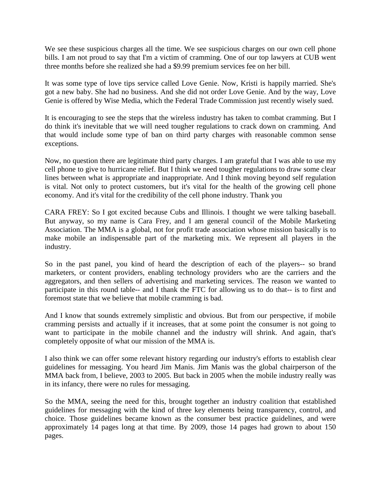We see these suspicious charges all the time. We see suspicious charges on our own cell phone bills. I am not proud to say that I'm a victim of cramming. One of our top lawyers at CUB went three months before she realized she had a \$9.99 premium services fee on her bill.

It was some type of love tips service called Love Genie. Now, Kristi is happily married. She's got a new baby. She had no business. And she did not order Love Genie. And by the way, Love Genie is offered by Wise Media, which the Federal Trade Commission just recently wisely sued.

It is encouraging to see the steps that the wireless industry has taken to combat cramming. But I do think it's inevitable that we will need tougher regulations to crack down on cramming. And that would include some type of ban on third party charges with reasonable common sense exceptions.

Now, no question there are legitimate third party charges. I am grateful that I was able to use my cell phone to give to hurricane relief. But I think we need tougher regulations to draw some clear lines between what is appropriate and inappropriate. And I think moving beyond self regulation is vital. Not only to protect customers, but it's vital for the health of the growing cell phone economy. And it's vital for the credibility of the cell phone industry. Thank you

CARA FREY: So I got excited because Cubs and Illinois. I thought we were talking baseball. But anyway, so my name is Cara Frey, and I am general council of the Mobile Marketing Association. The MMA is a global, not for profit trade association whose mission basically is to make mobile an indispensable part of the marketing mix. We represent all players in the industry.

So in the past panel, you kind of heard the description of each of the players-- so brand marketers, or content providers, enabling technology providers who are the carriers and the aggregators, and then sellers of advertising and marketing services. The reason we wanted to participate in this round table-- and I thank the FTC for allowing us to do that-- is to first and foremost state that we believe that mobile cramming is bad.

And I know that sounds extremely simplistic and obvious. But from our perspective, if mobile cramming persists and actually if it increases, that at some point the consumer is not going to want to participate in the mobile channel and the industry will shrink. And again, that's completely opposite of what our mission of the MMA is.

I also think we can offer some relevant history regarding our industry's efforts to establish clear guidelines for messaging. You heard Jim Manis. Jim Manis was the global chairperson of the MMA back from, I believe, 2003 to 2005. But back in 2005 when the mobile industry really was in its infancy, there were no rules for messaging.

So the MMA, seeing the need for this, brought together an industry coalition that established guidelines for messaging with the kind of three key elements being transparency, control, and choice. Those guidelines became known as the consumer best practice guidelines, and were approximately 14 pages long at that time. By 2009, those 14 pages had grown to about 150 pages.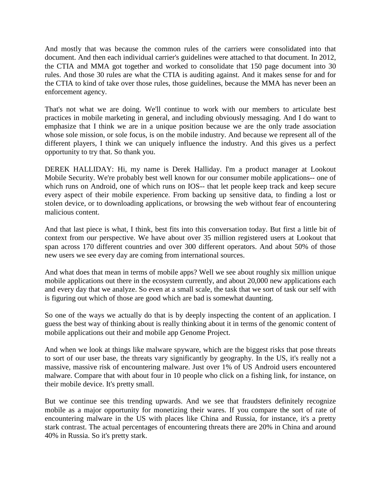And mostly that was because the common rules of the carriers were consolidated into that document. And then each individual carrier's guidelines were attached to that document. In 2012, the CTIA and MMA got together and worked to consolidate that 150 page document into 30 rules. And those 30 rules are what the CTIA is auditing against. And it makes sense for and for the CTIA to kind of take over those rules, those guidelines, because the MMA has never been an enforcement agency.

That's not what we are doing. We'll continue to work with our members to articulate best practices in mobile marketing in general, and including obviously messaging. And I do want to emphasize that I think we are in a unique position because we are the only trade association whose sole mission, or sole focus, is on the mobile industry. And because we represent all of the different players, I think we can uniquely influence the industry. And this gives us a perfect opportunity to try that. So thank you.

DEREK HALLIDAY: Hi, my name is Derek Halliday. I'm a product manager at Lookout Mobile Security. We're probably best well known for our consumer mobile applications-- one of which runs on Android, one of which runs on IOS-- that let people keep track and keep secure every aspect of their mobile experience. From backing up sensitive data, to finding a lost or stolen device, or to downloading applications, or browsing the web without fear of encountering malicious content.

And that last piece is what, I think, best fits into this conversation today. But first a little bit of context from our perspective. We have about over 35 million registered users at Lookout that span across 170 different countries and over 300 different operators. And about 50% of those new users we see every day are coming from international sources.

And what does that mean in terms of mobile apps? Well we see about roughly six million unique mobile applications out there in the ecosystem currently, and about 20,000 new applications each and every day that we analyze. So even at a small scale, the task that we sort of task our self with is figuring out which of those are good which are bad is somewhat daunting.

So one of the ways we actually do that is by deeply inspecting the content of an application. I guess the best way of thinking about is really thinking about it in terms of the genomic content of mobile applications out their and mobile app Genome Project.

And when we look at things like malware spyware, which are the biggest risks that pose threats to sort of our user base, the threats vary significantly by geography. In the US, it's really not a massive, massive risk of encountering malware. Just over 1% of US Android users encountered malware. Compare that with about four in 10 people who click on a fishing link, for instance, on their mobile device. It's pretty small.

But we continue see this trending upwards. And we see that fraudsters definitely recognize mobile as a major opportunity for monetizing their wares. If you compare the sort of rate of encountering malware in the US with places like China and Russia, for instance, it's a pretty stark contrast. The actual percentages of encountering threats there are 20% in China and around 40% in Russia. So it's pretty stark.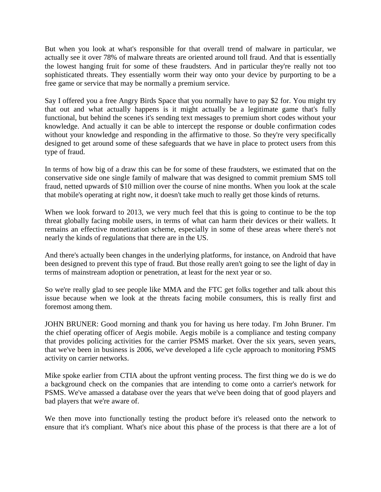But when you look at what's responsible for that overall trend of malware in particular, we actually see it over 78% of malware threats are oriented around toll fraud. And that is essentially the lowest hanging fruit for some of these fraudsters. And in particular they're really not too sophisticated threats. They essentially worm their way onto your device by purporting to be a free game or service that may be normally a premium service.

Say I offered you a free Angry Birds Space that you normally have to pay \$2 for. You might try that out and what actually happens is it might actually be a legitimate game that's fully functional, but behind the scenes it's sending text messages to premium short codes without your knowledge. And actually it can be able to intercept the response or double confirmation codes without your knowledge and responding in the affirmative to those. So they're very specifically designed to get around some of these safeguards that we have in place to protect users from this type of fraud.

In terms of how big of a draw this can be for some of these fraudsters, we estimated that on the conservative side one single family of malware that was designed to commit premium SMS toll fraud, netted upwards of \$10 million over the course of nine months. When you look at the scale that mobile's operating at right now, it doesn't take much to really get those kinds of returns.

When we look forward to 2013, we very much feel that this is going to continue to be the top threat globally facing mobile users, in terms of what can harm their devices or their wallets. It remains an effective monetization scheme, especially in some of these areas where there's not nearly the kinds of regulations that there are in the US.

And there's actually been changes in the underlying platforms, for instance, on Android that have been designed to prevent this type of fraud. But those really aren't going to see the light of day in terms of mainstream adoption or penetration, at least for the next year or so.

So we're really glad to see people like MMA and the FTC get folks together and talk about this issue because when we look at the threats facing mobile consumers, this is really first and foremost among them.

JOHN BRUNER: Good morning and thank you for having us here today. I'm John Bruner. I'm the chief operating officer of Aegis mobile. Aegis mobile is a compliance and testing company that provides policing activities for the carrier PSMS market. Over the six years, seven years, that we've been in business is 2006, we've developed a life cycle approach to monitoring PSMS activity on carrier networks.

Mike spoke earlier from CTIA about the upfront venting process. The first thing we do is we do a background check on the companies that are intending to come onto a carrier's network for PSMS. We've amassed a database over the years that we've been doing that of good players and bad players that we're aware of.

We then move into functionally testing the product before it's released onto the network to ensure that it's compliant. What's nice about this phase of the process is that there are a lot of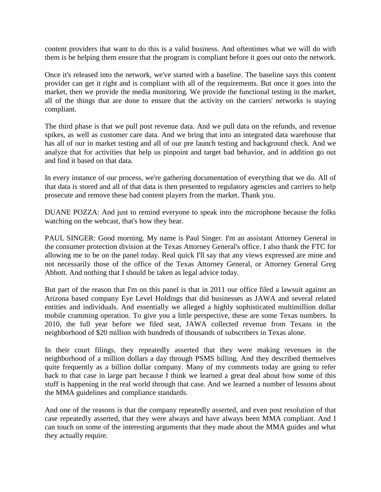content providers that want to do this is a valid business. And oftentimes what we will do with them is be helping them ensure that the program is compliant before it goes out onto the network.

Once it's released into the network, we've started with a baseline. The baseline says this content provider can get it right and is compliant with all of the requirements. But once it goes into the market, then we provide the media monitoring. We provide the functional testing in the market, all of the things that are done to ensure that the activity on the carriers' networks is staying compliant.

The third phase is that we pull post revenue data. And we pull data on the refunds, and revenue spikes, as well as customer care data. And we bring that into an integrated data warehouse that has all of our in market testing and all of our pre launch testing and background check. And we analyze that for activities that help us pinpoint and target bad behavior, and in addition go out and find it based on that data.

In every instance of our process, we're gathering documentation of everything that we do. All of that data is stored and all of that data is then presented to regulatory agencies and carriers to help prosecute and remove these bad content players from the market. Thank you.

DUANE POZZA: And just to remind everyone to speak into the microphone because the folks watching on the webcast, that's how they hear.

PAUL SINGER: Good morning. My name is Paul Singer. I'm an assistant Attorney General in the consumer protection division at the Texas Attorney General's office. I also thank the FTC for allowing me to be on the panel today. Real quick I'll say that any views expressed are mine and not necessarily those of the office of the Texas Attorney General, or Attorney General Greg Abbott. And nothing that I should be taken as legal advice today.

But part of the reason that I'm on this panel is that in 2011 our office filed a lawsuit against an Arizona based company Eye Level Holdings that did businesses as JAWA and several related entities and individuals. And essentially we alleged a highly sophisticated multimillion dollar mobile cramming operation. To give you a little perspective, these are some Texas numbers. In 2010, the full year before we filed seat, JAWA collected revenue from Texans in the neighborhood of \$20 million with hundreds of thousands of subscribers in Texas alone.

In their court filings, they repeatedly asserted that they were making revenues in the neighborhood of a million dollars a day through PSMS billing. And they described themselves quite frequently as a billion dollar company. Many of my comments today are going to refer back to that case in large part because I think we learned a great deal about how some of this stuff is happening in the real world through that case. And we learned a number of lessons about the MMA guidelines and compliance standards.

And one of the reasons is that the company repeatedly asserted, and even post resolution of that case repeatedly asserted, that they were always and have always been MMA compliant. And I can touch on some of the interesting arguments that they made about the MMA guides and what they actually require.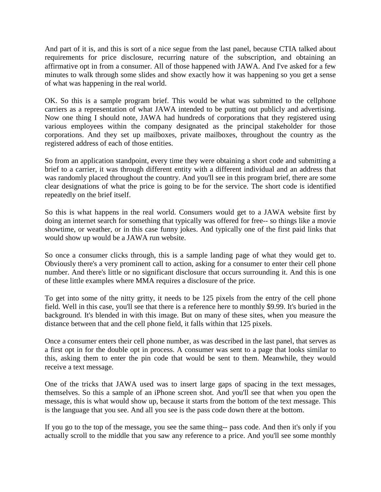And part of it is, and this is sort of a nice segue from the last panel, because CTIA talked about requirements for price disclosure, recurring nature of the subscription, and obtaining an affirmative opt in from a consumer. All of those happened with JAWA. And I've asked for a few minutes to walk through some slides and show exactly how it was happening so you get a sense of what was happening in the real world.

OK. So this is a sample program brief. This would be what was submitted to the cellphone carriers as a representation of what JAWA intended to be putting out publicly and advertising. Now one thing I should note, JAWA had hundreds of corporations that they registered using various employees within the company designated as the principal stakeholder for those corporations. And they set up mailboxes, private mailboxes, throughout the country as the registered address of each of those entities.

So from an application standpoint, every time they were obtaining a short code and submitting a brief to a carrier, it was through different entity with a different individual and an address that was randomly placed throughout the country. And you'll see in this program brief, there are some clear designations of what the price is going to be for the service. The short code is identified repeatedly on the brief itself.

So this is what happens in the real world. Consumers would get to a JAWA website first by doing an internet search for something that typically was offered for free-- so things like a movie showtime, or weather, or in this case funny jokes. And typically one of the first paid links that would show up would be a JAWA run website.

So once a consumer clicks through, this is a sample landing page of what they would get to. Obviously there's a very prominent call to action, asking for a consumer to enter their cell phone number. And there's little or no significant disclosure that occurs surrounding it. And this is one of these little examples where MMA requires a disclosure of the price.

To get into some of the nitty gritty, it needs to be 125 pixels from the entry of the cell phone field. Well in this case, you'll see that there is a reference here to monthly \$9.99. It's buried in the background. It's blended in with this image. But on many of these sites, when you measure the distance between that and the cell phone field, it falls within that 125 pixels.

Once a consumer enters their cell phone number, as was described in the last panel, that serves as a first opt in for the double opt in process. A consumer was sent to a page that looks similar to this, asking them to enter the pin code that would be sent to them. Meanwhile, they would receive a text message.

One of the tricks that JAWA used was to insert large gaps of spacing in the text messages, themselves. So this a sample of an iPhone screen shot. And you'll see that when you open the message, this is what would show up, because it starts from the bottom of the text message. This is the language that you see. And all you see is the pass code down there at the bottom.

If you go to the top of the message, you see the same thing-- pass code. And then it's only if you actually scroll to the middle that you saw any reference to a price. And you'll see some monthly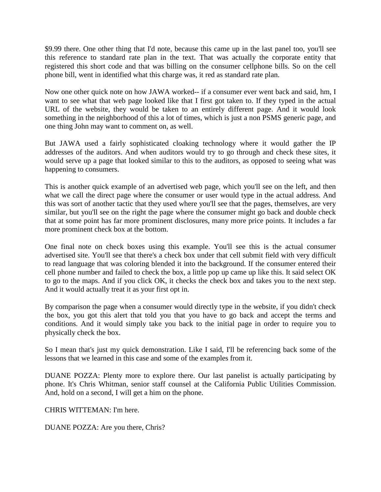\$9.99 there. One other thing that I'd note, because this came up in the last panel too, you'll see this reference to standard rate plan in the text. That was actually the corporate entity that registered this short code and that was billing on the consumer cellphone bills. So on the cell phone bill, went in identified what this charge was, it red as standard rate plan.

Now one other quick note on how JAWA worked-- if a consumer ever went back and said, hm, I want to see what that web page looked like that I first got taken to. If they typed in the actual URL of the website, they would be taken to an entirely different page. And it would look something in the neighborhood of this a lot of times, which is just a non PSMS generic page, and one thing John may want to comment on, as well.

But JAWA used a fairly sophisticated cloaking technology where it would gather the IP addresses of the auditors. And when auditors would try to go through and check these sites, it would serve up a page that looked similar to this to the auditors, as opposed to seeing what was happening to consumers.

This is another quick example of an advertised web page, which you'll see on the left, and then what we call the direct page where the consumer or user would type in the actual address. And this was sort of another tactic that they used where you'll see that the pages, themselves, are very similar, but you'll see on the right the page where the consumer might go back and double check that at some point has far more prominent disclosures, many more price points. It includes a far more prominent check box at the bottom.

One final note on check boxes using this example. You'll see this is the actual consumer advertised site. You'll see that there's a check box under that cell submit field with very difficult to read language that was coloring blended it into the background. If the consumer entered their cell phone number and failed to check the box, a little pop up came up like this. It said select OK to go to the maps. And if you click OK, it checks the check box and takes you to the next step. And it would actually treat it as your first opt in.

By comparison the page when a consumer would directly type in the website, if you didn't check the box, you got this alert that told you that you have to go back and accept the terms and conditions. And it would simply take you back to the initial page in order to require you to physically check the box.

So I mean that's just my quick demonstration. Like I said, I'll be referencing back some of the lessons that we learned in this case and some of the examples from it.

DUANE POZZA: Plenty more to explore there. Our last panelist is actually participating by phone. It's Chris Whitman, senior staff counsel at the California Public Utilities Commission. And, hold on a second, I will get a him on the phone.

CHRIS WITTEMAN: I'm here.

DUANE POZZA: Are you there, Chris?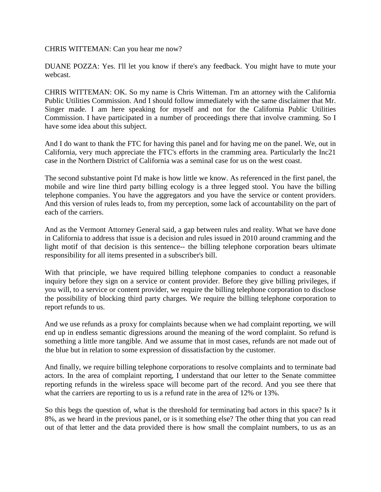CHRIS WITTEMAN: Can you hear me now?

DUANE POZZA: Yes. I'll let you know if there's any feedback. You might have to mute your webcast.

CHRIS WITTEMAN: OK. So my name is Chris Witteman. I'm an attorney with the California Public Utilities Commission. And I should follow immediately with the same disclaimer that Mr. Singer made. I am here speaking for myself and not for the California Public Utilities Commission. I have participated in a number of proceedings there that involve cramming. So I have some idea about this subject.

And I do want to thank the FTC for having this panel and for having me on the panel. We, out in California, very much appreciate the FTC's efforts in the cramming area. Particularly the Inc21 case in the Northern District of California was a seminal case for us on the west coast.

The second substantive point I'd make is how little we know. As referenced in the first panel, the mobile and wire line third party billing ecology is a three legged stool. You have the billing telephone companies. You have the aggregators and you have the service or content providers. And this version of rules leads to, from my perception, some lack of accountability on the part of each of the carriers.

And as the Vermont Attorney General said, a gap between rules and reality. What we have done in California to address that issue is a decision and rules issued in 2010 around cramming and the light motif of that decision is this sentence-- the billing telephone corporation bears ultimate responsibility for all items presented in a subscriber's bill.

With that principle, we have required billing telephone companies to conduct a reasonable inquiry before they sign on a service or content provider. Before they give billing privileges, if you will, to a service or content provider, we require the billing telephone corporation to disclose the possibility of blocking third party charges. We require the billing telephone corporation to report refunds to us.

And we use refunds as a proxy for complaints because when we had complaint reporting, we will end up in endless semantic digressions around the meaning of the word complaint. So refund is something a little more tangible. And we assume that in most cases, refunds are not made out of the blue but in relation to some expression of dissatisfaction by the customer.

And finally, we require billing telephone corporations to resolve complaints and to terminate bad actors. In the area of complaint reporting, I understand that our letter to the Senate committee reporting refunds in the wireless space will become part of the record. And you see there that what the carriers are reporting to us is a refund rate in the area of 12% or 13%.

So this begs the question of, what is the threshold for terminating bad actors in this space? Is it 8%, as we heard in the previous panel, or is it something else? The other thing that you can read out of that letter and the data provided there is how small the complaint numbers, to us as an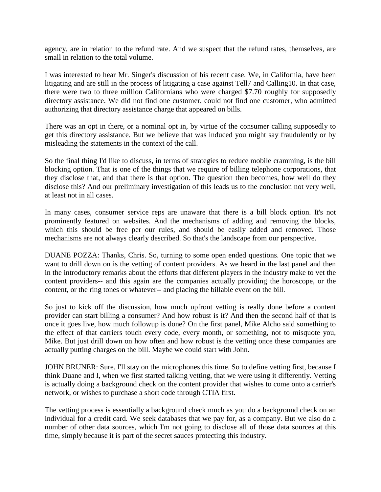agency, are in relation to the refund rate. And we suspect that the refund rates, themselves, are small in relation to the total volume.

I was interested to hear Mr. Singer's discussion of his recent case. We, in California, have been litigating and are still in the process of litigating a case against Tell7 and Calling10. In that case, there were two to three million Californians who were charged \$7.70 roughly for supposedly directory assistance. We did not find one customer, could not find one customer, who admitted authorizing that directory assistance charge that appeared on bills.

There was an opt in there, or a nominal opt in, by virtue of the consumer calling supposedly to get this directory assistance. But we believe that was induced you might say fraudulently or by misleading the statements in the context of the call.

So the final thing I'd like to discuss, in terms of strategies to reduce mobile cramming, is the bill blocking option. That is one of the things that we require of billing telephone corporations, that they disclose that, and that there is that option. The question then becomes, how well do they disclose this? And our preliminary investigation of this leads us to the conclusion not very well, at least not in all cases.

In many cases, consumer service reps are unaware that there is a bill block option. It's not prominently featured on websites. And the mechanisms of adding and removing the blocks, which this should be free per our rules, and should be easily added and removed. Those mechanisms are not always clearly described. So that's the landscape from our perspective.

DUANE POZZA: Thanks, Chris. So, turning to some open ended questions. One topic that we want to drill down on is the vetting of content providers. As we heard in the last panel and then in the introductory remarks about the efforts that different players in the industry make to vet the content providers-- and this again are the companies actually providing the horoscope, or the content, or the ring tones or whatever-- and placing the billable event on the bill.

So just to kick off the discussion, how much upfront vetting is really done before a content provider can start billing a consumer? And how robust is it? And then the second half of that is once it goes live, how much followup is done? On the first panel, Mike Alcho said something to the effect of that carriers touch every code, every month, or something, not to misquote you, Mike. But just drill down on how often and how robust is the vetting once these companies are actually putting charges on the bill. Maybe we could start with John.

JOHN BRUNER: Sure. I'll stay on the microphones this time. So to define vetting first, because I think Duane and I, when we first started talking vetting, that we were using it differently. Vetting is actually doing a background check on the content provider that wishes to come onto a carrier's network, or wishes to purchase a short code through CTIA first.

The vetting process is essentially a background check much as you do a background check on an individual for a credit card. We seek databases that we pay for, as a company. But we also do a number of other data sources, which I'm not going to disclose all of those data sources at this time, simply because it is part of the secret sauces protecting this industry.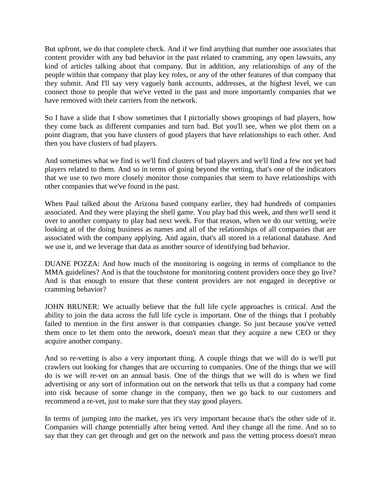But upfront, we do that complete check. And if we find anything that number one associates that content provider with any bad behavior in the past related to cramming, any open lawsuits, any kind of articles talking about that company. But in addition, any relationships of any of the people within that company that play key roles, or any of the other features of that company that they submit. And I'll say very vaguely bank accounts, addresses, at the highest level, we can connect those to people that we've vetted in the past and more importantly companies that we have removed with their carriers from the network.

So I have a slide that I show sometimes that I pictorially shows groupings of bad players, how they come back as different companies and turn bad. But you'll see, when we plot them on a point diagram, that you have clusters of good players that have relationships to each other. And then you have clusters of bad players.

And sometimes what we find is we'll find clusters of bad players and we'll find a few not yet bad players related to them. And so in terms of going beyond the vetting, that's one of the indicators that we use to two more closely monitor those companies that seem to have relationships with other companies that we've found in the past.

When Paul talked about the Arizona based company earlier, they had hundreds of companies associated. And they were playing the shell game. You play bad this week, and then we'll send it over to another company to play bad next week. For that reason, when we do our vetting, we're looking at of the doing business as names and all of the relationships of all companies that are associated with the company applying. And again, that's all stored in a relational database. And we use it, and we leverage that data as another source of identifying bad behavior.

DUANE POZZA: And how much of the monitoring is ongoing in terms of compliance to the MMA guidelines? And is that the touchstone for monitoring content providers once they go live? And is that enough to ensure that these content providers are not engaged in deceptive or cramming behavior?

JOHN BRUNER: We actually believe that the full life cycle approaches is critical. And the ability to join the data across the full life cycle is important. One of the things that I probably failed to mention in the first answer is that companies change. So just because you've vetted them once to let them onto the network, doesn't mean that they acquire a new CEO or they acquire another company.

And so re-vetting is also a very important thing. A couple things that we will do is we'll put crawlers out looking for changes that are occurring to companies. One of the things that we will do is we will re-vet on an annual basis. One of the things that we will do is when we find advertising or any sort of information out on the network that tells us that a company had come into risk because of some change in the company, then we go back to our customers and recommend a re-vet, just to make sure that they stay good players.

In terms of jumping into the market, yes it's very important because that's the other side of it. Companies will change potentially after being vetted. And they change all the time. And so to say that they can get through and get on the network and pass the vetting process doesn't mean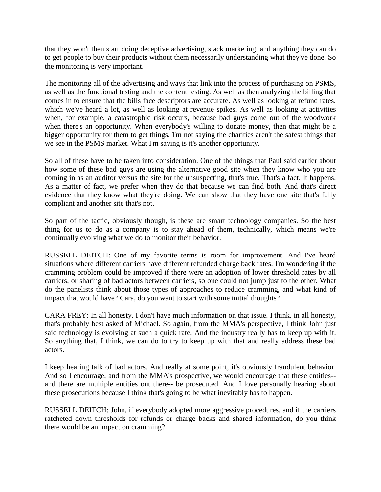that they won't then start doing deceptive advertising, stack marketing, and anything they can do to get people to buy their products without them necessarily understanding what they've done. So the monitoring is very important.

The monitoring all of the advertising and ways that link into the process of purchasing on PSMS, as well as the functional testing and the content testing. As well as then analyzing the billing that comes in to ensure that the bills face descriptors are accurate. As well as looking at refund rates, which we've heard a lot, as well as looking at revenue spikes. As well as looking at activities when, for example, a catastrophic risk occurs, because bad guys come out of the woodwork when there's an opportunity. When everybody's willing to donate money, then that might be a bigger opportunity for them to get things. I'm not saying the charities aren't the safest things that we see in the PSMS market. What I'm saying is it's another opportunity.

So all of these have to be taken into consideration. One of the things that Paul said earlier about how some of these bad guys are using the alternative good site when they know who you are coming in as an auditor versus the site for the unsuspecting, that's true. That's a fact. It happens. As a matter of fact, we prefer when they do that because we can find both. And that's direct evidence that they know what they're doing. We can show that they have one site that's fully compliant and another site that's not.

So part of the tactic, obviously though, is these are smart technology companies. So the best thing for us to do as a company is to stay ahead of them, technically, which means we're continually evolving what we do to monitor their behavior.

RUSSELL DEITCH: One of my favorite terms is room for improvement. And I've heard situations where different carriers have different refunded charge back rates. I'm wondering if the cramming problem could be improved if there were an adoption of lower threshold rates by all carriers, or sharing of bad actors between carriers, so one could not jump just to the other. What do the panelists think about those types of approaches to reduce cramming, and what kind of impact that would have? Cara, do you want to start with some initial thoughts?

CARA FREY: In all honesty, I don't have much information on that issue. I think, in all honesty, that's probably best asked of Michael. So again, from the MMA's perspective, I think John just said technology is evolving at such a quick rate. And the industry really has to keep up with it. So anything that, I think, we can do to try to keep up with that and really address these bad actors.

I keep hearing talk of bad actors. And really at some point, it's obviously fraudulent behavior. And so I encourage, and from the MMA's prospective, we would encourage that these entities- and there are multiple entities out there-- be prosecuted. And I love personally hearing about these prosecutions because I think that's going to be what inevitably has to happen.

RUSSELL DEITCH: John, if everybody adopted more aggressive procedures, and if the carriers ratcheted down thresholds for refunds or charge backs and shared information, do you think there would be an impact on cramming?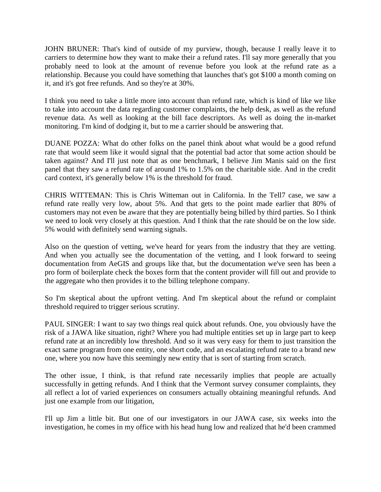JOHN BRUNER: That's kind of outside of my purview, though, because I really leave it to carriers to determine how they want to make their a refund rates. I'll say more generally that you probably need to look at the amount of revenue before you look at the refund rate as a relationship. Because you could have something that launches that's got \$100 a month coming on it, and it's got free refunds. And so they're at 30%.

I think you need to take a little more into account than refund rate, which is kind of like we like to take into account the data regarding customer complaints, the help desk, as well as the refund revenue data. As well as looking at the bill face descriptors. As well as doing the in-market monitoring. I'm kind of dodging it, but to me a carrier should be answering that.

DUANE POZZA: What do other folks on the panel think about what would be a good refund rate that would seem like it would signal that the potential bad actor that some action should be taken against? And I'll just note that as one benchmark, I believe Jim Manis said on the first panel that they saw a refund rate of around 1% to 1.5% on the charitable side. And in the credit card context, it's generally below 1% is the threshold for fraud.

CHRIS WITTEMAN: This is Chris Witteman out in California. In the Tell7 case, we saw a refund rate really very low, about 5%. And that gets to the point made earlier that 80% of customers may not even be aware that they are potentially being billed by third parties. So I think we need to look very closely at this question. And I think that the rate should be on the low side. 5% would with definitely send warning signals.

Also on the question of vetting, we've heard for years from the industry that they are vetting. And when you actually see the documentation of the vetting, and I look forward to seeing documentation from AeGIS and groups like that, but the documentation we've seen has been a pro form of boilerplate check the boxes form that the content provider will fill out and provide to the aggregate who then provides it to the billing telephone company.

So I'm skeptical about the upfront vetting. And I'm skeptical about the refund or complaint threshold required to trigger serious scrutiny.

PAUL SINGER: I want to say two things real quick about refunds. One, you obviously have the risk of a JAWA like situation, right? Where you had multiple entities set up in large part to keep refund rate at an incredibly low threshold. And so it was very easy for them to just transition the exact same program from one entity, one short code, and an escalating refund rate to a brand new one, where you now have this seemingly new entity that is sort of starting from scratch.

The other issue, I think, is that refund rate necessarily implies that people are actually successfully in getting refunds. And I think that the Vermont survey consumer complaints, they all reflect a lot of varied experiences on consumers actually obtaining meaningful refunds. And just one example from our litigation,

I'll up Jim a little bit. But one of our investigators in our JAWA case, six weeks into the investigation, he comes in my office with his head hung low and realized that he'd been crammed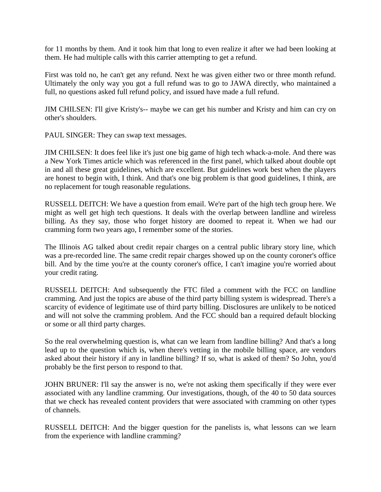for 11 months by them. And it took him that long to even realize it after we had been looking at them. He had multiple calls with this carrier attempting to get a refund.

First was told no, he can't get any refund. Next he was given either two or three month refund. Ultimately the only way you got a full refund was to go to JAWA directly, who maintained a full, no questions asked full refund policy, and issued have made a full refund.

JIM CHILSEN: I'll give Kristy's-- maybe we can get his number and Kristy and him can cry on other's shoulders.

PAUL SINGER: They can swap text messages.

JIM CHILSEN: It does feel like it's just one big game of high tech whack-a-mole. And there was a New York Times article which was referenced in the first panel, which talked about double opt in and all these great guidelines, which are excellent. But guidelines work best when the players are honest to begin with, I think. And that's one big problem is that good guidelines, I think, are no replacement for tough reasonable regulations.

RUSSELL DEITCH: We have a question from email. We're part of the high tech group here. We might as well get high tech questions. It deals with the overlap between landline and wireless billing. As they say, those who forget history are doomed to repeat it. When we had our cramming form two years ago, I remember some of the stories.

The Illinois AG talked about credit repair charges on a central public library story line, which was a pre-recorded line. The same credit repair charges showed up on the county coroner's office bill. And by the time you're at the county coroner's office, I can't imagine you're worried about your credit rating.

RUSSELL DEITCH: And subsequently the FTC filed a comment with the FCC on landline cramming. And just the topics are abuse of the third party billing system is widespread. There's a scarcity of evidence of legitimate use of third party billing. Disclosures are unlikely to be noticed and will not solve the cramming problem. And the FCC should ban a required default blocking or some or all third party charges.

So the real overwhelming question is, what can we learn from landline billing? And that's a long lead up to the question which is, when there's vetting in the mobile billing space, are vendors asked about their history if any in landline billing? If so, what is asked of them? So John, you'd probably be the first person to respond to that.

JOHN BRUNER: I'll say the answer is no, we're not asking them specifically if they were ever associated with any landline cramming. Our investigations, though, of the 40 to 50 data sources that we check has revealed content providers that were associated with cramming on other types of channels.

RUSSELL DEITCH: And the bigger question for the panelists is, what lessons can we learn from the experience with landline cramming?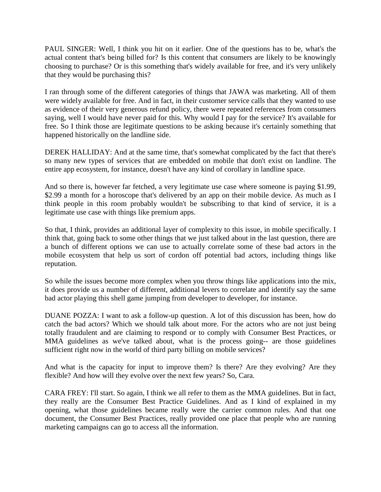PAUL SINGER: Well, I think you hit on it earlier. One of the questions has to be, what's the actual content that's being billed for? Is this content that consumers are likely to be knowingly choosing to purchase? Or is this something that's widely available for free, and it's very unlikely that they would be purchasing this?

I ran through some of the different categories of things that JAWA was marketing. All of them were widely available for free. And in fact, in their customer service calls that they wanted to use as evidence of their very generous refund policy, there were repeated references from consumers saying, well I would have never paid for this. Why would I pay for the service? It's available for free. So I think those are legitimate questions to be asking because it's certainly something that happened historically on the landline side.

DEREK HALLIDAY: And at the same time, that's somewhat complicated by the fact that there's so many new types of services that are embedded on mobile that don't exist on landline. The entire app ecosystem, for instance, doesn't have any kind of corollary in landline space.

And so there is, however far fetched, a very legitimate use case where someone is paying \$1.99, \$2.99 a month for a horoscope that's delivered by an app on their mobile device. As much as I think people in this room probably wouldn't be subscribing to that kind of service, it is a legitimate use case with things like premium apps.

So that, I think, provides an additional layer of complexity to this issue, in mobile specifically. I think that, going back to some other things that we just talked about in the last question, there are a bunch of different options we can use to actually correlate some of these bad actors in the mobile ecosystem that help us sort of cordon off potential bad actors, including things like reputation.

So while the issues become more complex when you throw things like applications into the mix, it does provide us a number of different, additional levers to correlate and identify say the same bad actor playing this shell game jumping from developer to developer, for instance.

DUANE POZZA: I want to ask a follow-up question. A lot of this discussion has been, how do catch the bad actors? Which we should talk about more. For the actors who are not just being totally fraudulent and are claiming to respond or to comply with Consumer Best Practices, or MMA guidelines as we've talked about, what is the process going-- are those guidelines sufficient right now in the world of third party billing on mobile services?

And what is the capacity for input to improve them? Is there? Are they evolving? Are they flexible? And how will they evolve over the next few years? So, Cara.

CARA FREY: I'll start. So again, I think we all refer to them as the MMA guidelines. But in fact, they really are the Consumer Best Practice Guidelines. And as I kind of explained in my opening, what those guidelines became really were the carrier common rules. And that one document, the Consumer Best Practices, really provided one place that people who are running marketing campaigns can go to access all the information.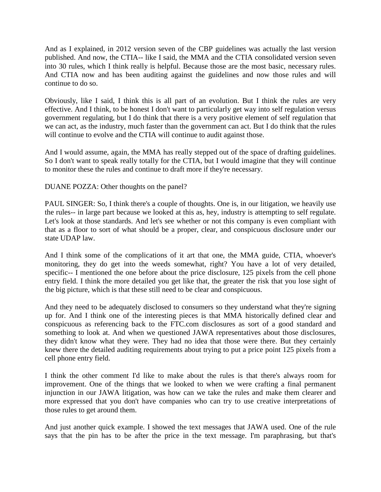And as I explained, in 2012 version seven of the CBP guidelines was actually the last version published. And now, the CTIA-- like I said, the MMA and the CTIA consolidated version seven into 30 rules, which I think really is helpful. Because those are the most basic, necessary rules. And CTIA now and has been auditing against the guidelines and now those rules and will continue to do so.

Obviously, like I said, I think this is all part of an evolution. But I think the rules are very effective. And I think, to be honest I don't want to particularly get way into self regulation versus government regulating, but I do think that there is a very positive element of self regulation that we can act, as the industry, much faster than the government can act. But I do think that the rules will continue to evolve and the CTIA will continue to audit against those.

And I would assume, again, the MMA has really stepped out of the space of drafting guidelines. So I don't want to speak really totally for the CTIA, but I would imagine that they will continue to monitor these the rules and continue to draft more if they're necessary.

DUANE POZZA: Other thoughts on the panel?

PAUL SINGER: So, I think there's a couple of thoughts. One is, in our litigation, we heavily use the rules-- in large part because we looked at this as, hey, industry is attempting to self regulate. Let's look at those standards. And let's see whether or not this company is even compliant with that as a floor to sort of what should be a proper, clear, and conspicuous disclosure under our state UDAP law.

And I think some of the complications of it art that one, the MMA guide, CTIA, whoever's monitoring, they do get into the weeds somewhat, right? You have a lot of very detailed, specific-- I mentioned the one before about the price disclosure, 125 pixels from the cell phone entry field. I think the more detailed you get like that, the greater the risk that you lose sight of the big picture, which is that these still need to be clear and conspicuous.

And they need to be adequately disclosed to consumers so they understand what they're signing up for. And I think one of the interesting pieces is that MMA historically defined clear and conspicuous as referencing back to the FTC.com disclosures as sort of a good standard and something to look at. And when we questioned JAWA representatives about those disclosures, they didn't know what they were. They had no idea that those were there. But they certainly knew there the detailed auditing requirements about trying to put a price point 125 pixels from a cell phone entry field.

I think the other comment I'd like to make about the rules is that there's always room for improvement. One of the things that we looked to when we were crafting a final permanent injunction in our JAWA litigation, was how can we take the rules and make them clearer and more expressed that you don't have companies who can try to use creative interpretations of those rules to get around them.

And just another quick example. I showed the text messages that JAWA used. One of the rule says that the pin has to be after the price in the text message. I'm paraphrasing, but that's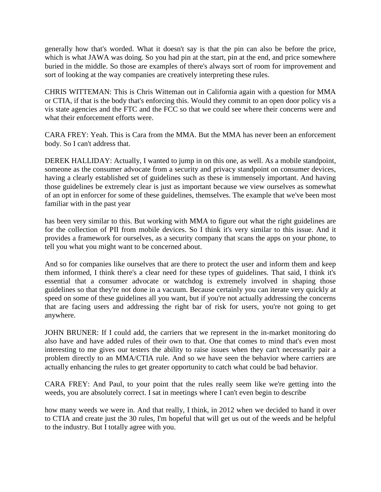generally how that's worded. What it doesn't say is that the pin can also be before the price, which is what JAWA was doing. So you had pin at the start, pin at the end, and price somewhere buried in the middle. So those are examples of there's always sort of room for improvement and sort of looking at the way companies are creatively interpreting these rules.

CHRIS WITTEMAN: This is Chris Witteman out in California again with a question for MMA or CTIA, if that is the body that's enforcing this. Would they commit to an open door policy vis a vis state agencies and the FTC and the FCC so that we could see where their concerns were and what their enforcement efforts were.

CARA FREY: Yeah. This is Cara from the MMA. But the MMA has never been an enforcement body. So I can't address that.

DEREK HALLIDAY: Actually, I wanted to jump in on this one, as well. As a mobile standpoint, someone as the consumer advocate from a security and privacy standpoint on consumer devices, having a clearly established set of guidelines such as these is immensely important. And having those guidelines be extremely clear is just as important because we view ourselves as somewhat of an opt in enforcer for some of these guidelines, themselves. The example that we've been most familiar with in the past year

has been very similar to this. But working with MMA to figure out what the right guidelines are for the collection of PII from mobile devices. So I think it's very similar to this issue. And it provides a framework for ourselves, as a security company that scans the apps on your phone, to tell you what you might want to be concerned about.

And so for companies like ourselves that are there to protect the user and inform them and keep them informed, I think there's a clear need for these types of guidelines. That said, I think it's essential that a consumer advocate or watchdog is extremely involved in shaping those guidelines so that they're not done in a vacuum. Because certainly you can iterate very quickly at speed on some of these guidelines all you want, but if you're not actually addressing the concerns that are facing users and addressing the right bar of risk for users, you're not going to get anywhere.

JOHN BRUNER: If I could add, the carriers that we represent in the in-market monitoring do also have and have added rules of their own to that. One that comes to mind that's even most interesting to me gives our testers the ability to raise issues when they can't necessarily pair a problem directly to an MMA/CTIA rule. And so we have seen the behavior where carriers are actually enhancing the rules to get greater opportunity to catch what could be bad behavior.

CARA FREY: And Paul, to your point that the rules really seem like we're getting into the weeds, you are absolutely correct. I sat in meetings where I can't even begin to describe

how many weeds we were in. And that really, I think, in 2012 when we decided to hand it over to CTIA and create just the 30 rules, I'm hopeful that will get us out of the weeds and be helpful to the industry. But I totally agree with you.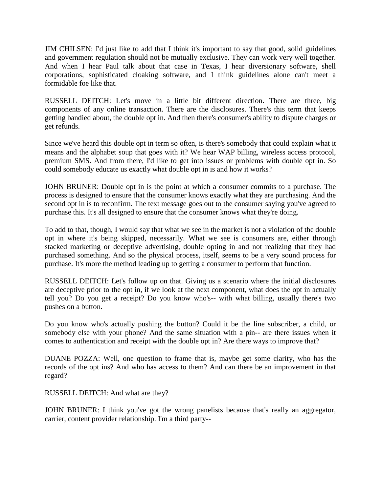JIM CHILSEN: I'd just like to add that I think it's important to say that good, solid guidelines and government regulation should not be mutually exclusive. They can work very well together. And when I hear Paul talk about that case in Texas, I hear diversionary software, shell corporations, sophisticated cloaking software, and I think guidelines alone can't meet a formidable foe like that.

RUSSELL DEITCH: Let's move in a little bit different direction. There are three, big components of any online transaction. There are the disclosures. There's this term that keeps getting bandied about, the double opt in. And then there's consumer's ability to dispute charges or get refunds.

Since we've heard this double opt in term so often, is there's somebody that could explain what it means and the alphabet soup that goes with it? We hear WAP billing, wireless access protocol, premium SMS. And from there, I'd like to get into issues or problems with double opt in. So could somebody educate us exactly what double opt in is and how it works?

JOHN BRUNER: Double opt in is the point at which a consumer commits to a purchase. The process is designed to ensure that the consumer knows exactly what they are purchasing. And the second opt in is to reconfirm. The text message goes out to the consumer saying you've agreed to purchase this. It's all designed to ensure that the consumer knows what they're doing.

To add to that, though, I would say that what we see in the market is not a violation of the double opt in where it's being skipped, necessarily. What we see is consumers are, either through stacked marketing or deceptive advertising, double opting in and not realizing that they had purchased something. And so the physical process, itself, seems to be a very sound process for purchase. It's more the method leading up to getting a consumer to perform that function.

RUSSELL DEITCH: Let's follow up on that. Giving us a scenario where the initial disclosures are deceptive prior to the opt in, if we look at the next component, what does the opt in actually tell you? Do you get a receipt? Do you know who's-- with what billing, usually there's two pushes on a button.

Do you know who's actually pushing the button? Could it be the line subscriber, a child, or somebody else with your phone? And the same situation with a pin-- are there issues when it comes to authentication and receipt with the double opt in? Are there ways to improve that?

DUANE POZZA: Well, one question to frame that is, maybe get some clarity, who has the records of the opt ins? And who has access to them? And can there be an improvement in that regard?

RUSSELL DEITCH: And what are they?

JOHN BRUNER: I think you've got the wrong panelists because that's really an aggregator, carrier, content provider relationship. I'm a third party--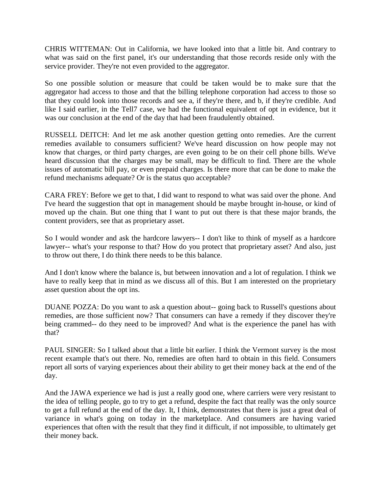CHRIS WITTEMAN: Out in California, we have looked into that a little bit. And contrary to what was said on the first panel, it's our understanding that those records reside only with the service provider. They're not even provided to the aggregator.

So one possible solution or measure that could be taken would be to make sure that the aggregator had access to those and that the billing telephone corporation had access to those so that they could look into those records and see a, if they're there, and b, if they're credible. And like I said earlier, in the Tell7 case, we had the functional equivalent of opt in evidence, but it was our conclusion at the end of the day that had been fraudulently obtained.

RUSSELL DEITCH: And let me ask another question getting onto remedies. Are the current remedies available to consumers sufficient? We've heard discussion on how people may not know that charges, or third party charges, are even going to be on their cell phone bills. We've heard discussion that the charges may be small, may be difficult to find. There are the whole issues of automatic bill pay, or even prepaid charges. Is there more that can be done to make the refund mechanisms adequate? Or is the status quo acceptable?

CARA FREY: Before we get to that, I did want to respond to what was said over the phone. And I've heard the suggestion that opt in management should be maybe brought in-house, or kind of moved up the chain. But one thing that I want to put out there is that these major brands, the content providers, see that as proprietary asset.

So I would wonder and ask the hardcore lawyers-- I don't like to think of myself as a hardcore lawyer-- what's your response to that? How do you protect that proprietary asset? And also, just to throw out there, I do think there needs to be this balance.

And I don't know where the balance is, but between innovation and a lot of regulation. I think we have to really keep that in mind as we discuss all of this. But I am interested on the proprietary asset question about the opt ins.

DUANE POZZA: Do you want to ask a question about-- going back to Russell's questions about remedies, are those sufficient now? That consumers can have a remedy if they discover they're being crammed-- do they need to be improved? And what is the experience the panel has with that?

PAUL SINGER: So I talked about that a little bit earlier. I think the Vermont survey is the most recent example that's out there. No, remedies are often hard to obtain in this field. Consumers report all sorts of varying experiences about their ability to get their money back at the end of the day.

And the JAWA experience we had is just a really good one, where carriers were very resistant to the idea of telling people, go to try to get a refund, despite the fact that really was the only source to get a full refund at the end of the day. It, I think, demonstrates that there is just a great deal of variance in what's going on today in the marketplace. And consumers are having varied experiences that often with the result that they find it difficult, if not impossible, to ultimately get their money back.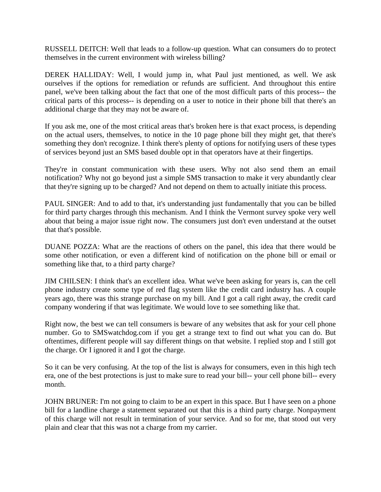RUSSELL DEITCH: Well that leads to a follow-up question. What can consumers do to protect themselves in the current environment with wireless billing?

DEREK HALLIDAY: Well, I would jump in, what Paul just mentioned, as well. We ask ourselves if the options for remediation or refunds are sufficient. And throughout this entire panel, we've been talking about the fact that one of the most difficult parts of this process-- the critical parts of this process-- is depending on a user to notice in their phone bill that there's an additional charge that they may not be aware of.

If you ask me, one of the most critical areas that's broken here is that exact process, is depending on the actual users, themselves, to notice in the 10 page phone bill they might get, that there's something they don't recognize. I think there's plenty of options for notifying users of these types of services beyond just an SMS based double opt in that operators have at their fingertips.

They're in constant communication with these users. Why not also send them an email notification? Why not go beyond just a simple SMS transaction to make it very abundantly clear that they're signing up to be charged? And not depend on them to actually initiate this process.

PAUL SINGER: And to add to that, it's understanding just fundamentally that you can be billed for third party charges through this mechanism. And I think the Vermont survey spoke very well about that being a major issue right now. The consumers just don't even understand at the outset that that's possible.

DUANE POZZA: What are the reactions of others on the panel, this idea that there would be some other notification, or even a different kind of notification on the phone bill or email or something like that, to a third party charge?

JIM CHILSEN: I think that's an excellent idea. What we've been asking for years is, can the cell phone industry create some type of red flag system like the credit card industry has. A couple years ago, there was this strange purchase on my bill. And I got a call right away, the credit card company wondering if that was legitimate. We would love to see something like that.

Right now, the best we can tell consumers is beware of any websites that ask for your cell phone number. Go to SMSwatchdog.com if you get a strange text to find out what you can do. But oftentimes, different people will say different things on that website. I replied stop and I still got the charge. Or I ignored it and I got the charge.

So it can be very confusing. At the top of the list is always for consumers, even in this high tech era, one of the best protections is just to make sure to read your bill-- your cell phone bill-- every month.

JOHN BRUNER: I'm not going to claim to be an expert in this space. But I have seen on a phone bill for a landline charge a statement separated out that this is a third party charge. Nonpayment of this charge will not result in termination of your service. And so for me, that stood out very plain and clear that this was not a charge from my carrier.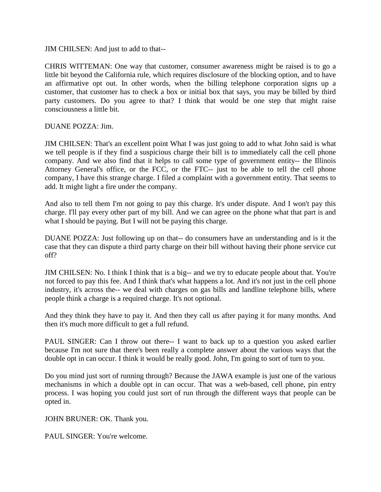JIM CHILSEN: And just to add to that--

CHRIS WITTEMAN: One way that customer, consumer awareness might be raised is to go a little bit beyond the California rule, which requires disclosure of the blocking option, and to have an affirmative opt out. In other words, when the billing telephone corporation signs up a customer, that customer has to check a box or initial box that says, you may be billed by third party customers. Do you agree to that? I think that would be one step that might raise consciousness a little bit.

DUANE POZZA: Jim.

JIM CHILSEN: That's an excellent point What I was just going to add to what John said is what we tell people is if they find a suspicious charge their bill is to immediately call the cell phone company. And we also find that it helps to call some type of government entity-- the Illinois Attorney General's office, or the FCC, or the FTC-- just to be able to tell the cell phone company, I have this strange charge. I filed a complaint with a government entity. That seems to add. It might light a fire under the company.

And also to tell them I'm not going to pay this charge. It's under dispute. And I won't pay this charge. I'll pay every other part of my bill. And we can agree on the phone what that part is and what I should be paying. But I will not be paying this charge.

DUANE POZZA: Just following up on that-- do consumers have an understanding and is it the case that they can dispute a third party charge on their bill without having their phone service cut off?

JIM CHILSEN: No. I think I think that is a big-- and we try to educate people about that. You're not forced to pay this fee. And I think that's what happens a lot. And it's not just in the cell phone industry, it's across the-- we deal with charges on gas bills and landline telephone bills, where people think a charge is a required charge. It's not optional.

And they think they have to pay it. And then they call us after paying it for many months. And then it's much more difficult to get a full refund.

PAUL SINGER: Can I throw out there-- I want to back up to a question you asked earlier because I'm not sure that there's been really a complete answer about the various ways that the double opt in can occur. I think it would be really good. John, I'm going to sort of turn to you.

Do you mind just sort of running through? Because the JAWA example is just one of the various mechanisms in which a double opt in can occur. That was a web-based, cell phone, pin entry process. I was hoping you could just sort of run through the different ways that people can be opted in.

JOHN BRUNER: OK. Thank you.

PAUL SINGER: You're welcome.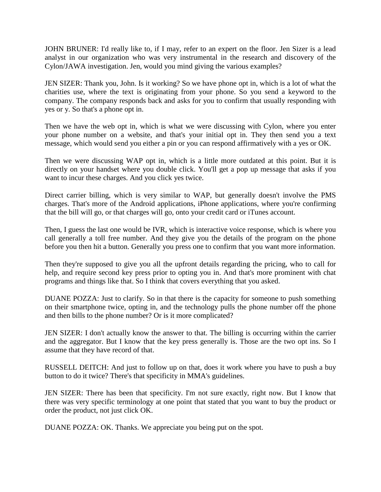JOHN BRUNER: I'd really like to, if I may, refer to an expert on the floor. Jen Sizer is a lead analyst in our organization who was very instrumental in the research and discovery of the Cylon/JAWA investigation. Jen, would you mind giving the various examples?

JEN SIZER: Thank you, John. Is it working? So we have phone opt in, which is a lot of what the charities use, where the text is originating from your phone. So you send a keyword to the company. The company responds back and asks for you to confirm that usually responding with yes or y. So that's a phone opt in.

Then we have the web opt in, which is what we were discussing with Cylon, where you enter your phone number on a website, and that's your initial opt in. They then send you a text message, which would send you either a pin or you can respond affirmatively with a yes or OK.

Then we were discussing WAP opt in, which is a little more outdated at this point. But it is directly on your handset where you double click. You'll get a pop up message that asks if you want to incur these charges. And you click yes twice.

Direct carrier billing, which is very similar to WAP, but generally doesn't involve the PMS charges. That's more of the Android applications, iPhone applications, where you're confirming that the bill will go, or that charges will go, onto your credit card or iTunes account.

Then, I guess the last one would be IVR, which is interactive voice response, which is where you call generally a toll free number. And they give you the details of the program on the phone before you then hit a button. Generally you press one to confirm that you want more information.

Then they're supposed to give you all the upfront details regarding the pricing, who to call for help, and require second key press prior to opting you in. And that's more prominent with chat programs and things like that. So I think that covers everything that you asked.

DUANE POZZA: Just to clarify. So in that there is the capacity for someone to push something on their smartphone twice, opting in, and the technology pulls the phone number off the phone and then bills to the phone number? Or is it more complicated?

JEN SIZER: I don't actually know the answer to that. The billing is occurring within the carrier and the aggregator. But I know that the key press generally is. Those are the two opt ins. So I assume that they have record of that.

RUSSELL DEITCH: And just to follow up on that, does it work where you have to push a buy button to do it twice? There's that specificity in MMA's guidelines.

JEN SIZER: There has been that specificity. I'm not sure exactly, right now. But I know that there was very specific terminology at one point that stated that you want to buy the product or order the product, not just click OK.

DUANE POZZA: OK. Thanks. We appreciate you being put on the spot.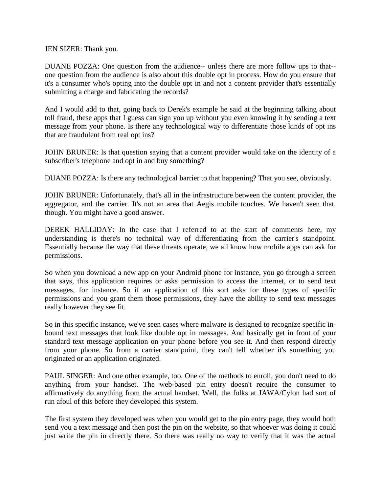JEN SIZER: Thank you.

DUANE POZZA: One question from the audience-- unless there are more follow ups to that- one question from the audience is also about this double opt in process. How do you ensure that it's a consumer who's opting into the double opt in and not a content provider that's essentially submitting a charge and fabricating the records?

And I would add to that, going back to Derek's example he said at the beginning talking about toll fraud, these apps that I guess can sign you up without you even knowing it by sending a text message from your phone. Is there any technological way to differentiate those kinds of opt ins that are fraudulent from real opt ins?

JOHN BRUNER: Is that question saying that a content provider would take on the identity of a subscriber's telephone and opt in and buy something?

DUANE POZZA: Is there any technological barrier to that happening? That you see, obviously.

JOHN BRUNER: Unfortunately, that's all in the infrastructure between the content provider, the aggregator, and the carrier. It's not an area that Aegis mobile touches. We haven't seen that, though. You might have a good answer.

DEREK HALLIDAY: In the case that I referred to at the start of comments here, my understanding is there's no technical way of differentiating from the carrier's standpoint. Essentially because the way that these threats operate, we all know how mobile apps can ask for permissions.

So when you download a new app on your Android phone for instance, you go through a screen that says, this application requires or asks permission to access the internet, or to send text messages, for instance. So if an application of this sort asks for these types of specific permissions and you grant them those permissions, they have the ability to send text messages really however they see fit.

So in this specific instance, we've seen cases where malware is designed to recognize specific inbound text messages that look like double opt in messages. And basically get in front of your standard text message application on your phone before you see it. And then respond directly from your phone. So from a carrier standpoint, they can't tell whether it's something you originated or an application originated.

PAUL SINGER: And one other example, too. One of the methods to enroll, you don't need to do anything from your handset. The web-based pin entry doesn't require the consumer to affirmatively do anything from the actual handset. Well, the folks at JAWA/Cylon had sort of run afoul of this before they developed this system.

The first system they developed was when you would get to the pin entry page, they would both send you a text message and then post the pin on the website, so that whoever was doing it could just write the pin in directly there. So there was really no way to verify that it was the actual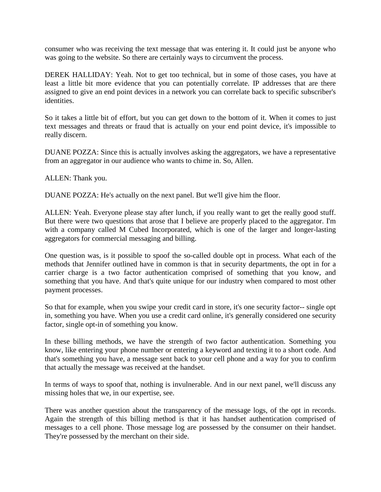consumer who was receiving the text message that was entering it. It could just be anyone who was going to the website. So there are certainly ways to circumvent the process.

DEREK HALLIDAY: Yeah. Not to get too technical, but in some of those cases, you have at least a little bit more evidence that you can potentially correlate. IP addresses that are there assigned to give an end point devices in a network you can correlate back to specific subscriber's identities.

So it takes a little bit of effort, but you can get down to the bottom of it. When it comes to just text messages and threats or fraud that is actually on your end point device, it's impossible to really discern.

DUANE POZZA: Since this is actually involves asking the aggregators, we have a representative from an aggregator in our audience who wants to chime in. So, Allen.

ALLEN: Thank you.

DUANE POZZA: He's actually on the next panel. But we'll give him the floor.

ALLEN: Yeah. Everyone please stay after lunch, if you really want to get the really good stuff. But there were two questions that arose that I believe are properly placed to the aggregator. I'm with a company called M Cubed Incorporated, which is one of the larger and longer-lasting aggregators for commercial messaging and billing.

One question was, is it possible to spoof the so-called double opt in process. What each of the methods that Jennifer outlined have in common is that in security departments, the opt in for a carrier charge is a two factor authentication comprised of something that you know, and something that you have. And that's quite unique for our industry when compared to most other payment processes.

So that for example, when you swipe your credit card in store, it's one security factor-- single opt in, something you have. When you use a credit card online, it's generally considered one security factor, single opt-in of something you know.

In these billing methods, we have the strength of two factor authentication. Something you know, like entering your phone number or entering a keyword and texting it to a short code. And that's something you have, a message sent back to your cell phone and a way for you to confirm that actually the message was received at the handset.

In terms of ways to spoof that, nothing is invulnerable. And in our next panel, we'll discuss any missing holes that we, in our expertise, see.

There was another question about the transparency of the message logs, of the opt in records. Again the strength of this billing method is that it has handset authentication comprised of messages to a cell phone. Those message log are possessed by the consumer on their handset. They're possessed by the merchant on their side.